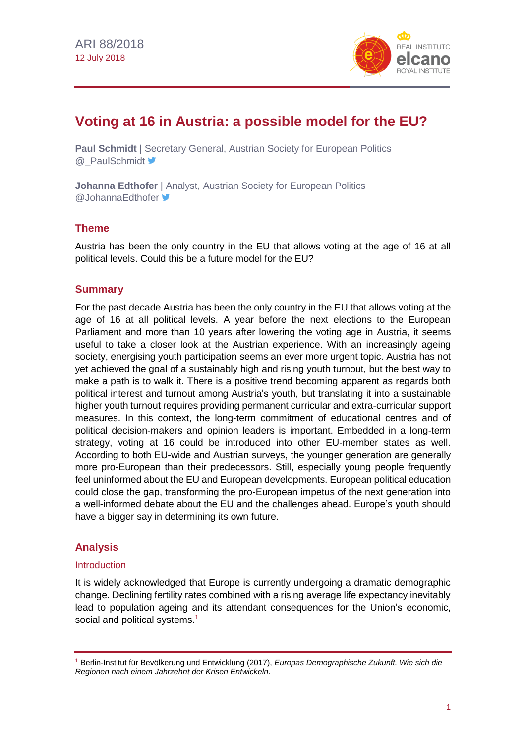

# **Voting at 16 in Austria: a possible model for the EU?**

**Paul Schmidt** | Secretary General, Austrian Society for European Politics **@\_PaulSchmidt** 

**Johanna Edthofer** | Analyst, Austrian Society for European Politics @JohannaEdthofer <del>■</del>

## **Theme**

Austria has been the only country in the EU that allows voting at the age of 16 at all political levels. Could this be a future model for the EU?

## **Summary**

For the past decade Austria has been the only country in the EU that allows voting at the age of 16 at all political levels. A year before the next elections to the European Parliament and more than 10 years after lowering the voting age in Austria, it seems useful to take a closer look at the Austrian experience. With an increasingly ageing society, energising youth participation seems an ever more urgent topic. Austria has not yet achieved the goal of a sustainably high and rising youth turnout, but the best way to make a path is to walk it. There is a positive trend becoming apparent as regards both political interest and turnout among Austria's youth, but translating it into a sustainable higher youth turnout requires providing permanent curricular and extra-curricular support measures. In this context, the long-term commitment of educational centres and of political decision-makers and opinion leaders is important. Embedded in a long-term strategy, voting at 16 could be introduced into other EU-member states as well. According to both EU-wide and Austrian surveys, the younger generation are generally more pro-European than their predecessors. Still, especially young people frequently feel uninformed about the EU and European developments. European political education could close the gap, transforming the pro-European impetus of the next generation into a well-informed debate about the EU and the challenges ahead. Europe's youth should have a bigger say in determining its own future.

# **Analysis**

#### Introduction

It is widely acknowledged that Europe is currently undergoing a dramatic demographic change. Declining fertility rates combined with a rising average life expectancy inevitably lead to population ageing and its attendant consequences for the Union's economic, social and political systems.<sup>1</sup>

<sup>1</sup> Berlin-Institut für Bevölkerung und Entwicklung (2017), *Europas Demographische Zukunft. Wie sich die Regionen nach einem Jahrzehnt der Krisen Entwickeln*.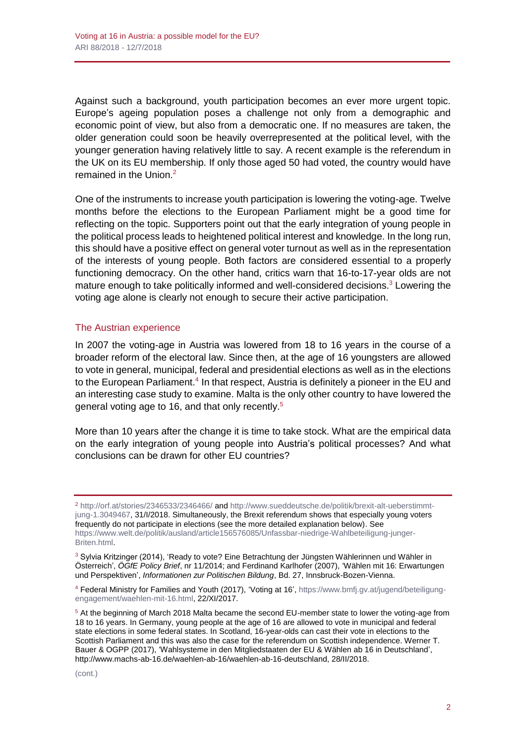Against such a background, youth participation becomes an ever more urgent topic. Europe's ageing population poses a challenge not only from a demographic and economic point of view, but also from a democratic one. If no measures are taken, the older generation could soon be heavily overrepresented at the political level, with the younger generation having relatively little to say. A recent example is the referendum in the UK on its EU membership. If only those aged 50 had voted, the country would have remained in the Union.<sup>2</sup>

One of the instruments to increase youth participation is lowering the voting-age. Twelve months before the elections to the European Parliament might be a good time for reflecting on the topic. Supporters point out that the early integration of young people in the political process leads to heightened political interest and knowledge. In the long run, this should have a positive effect on general voter turnout as well as in the representation of the interests of young people. Both factors are considered essential to a properly functioning democracy. On the other hand, critics warn that 16-to-17-year olds are not mature enough to take politically informed and well-considered decisions. $3$  Lowering the voting age alone is clearly not enough to secure their active participation.

#### The Austrian experience

In 2007 the voting-age in Austria was lowered from 18 to 16 years in the course of a broader reform of the electoral law. Since then, at the age of 16 youngsters are allowed to vote in general, municipal, federal and presidential elections as well as in the elections to the European Parliament.<sup>4</sup> In that respect, Austria is definitely a pioneer in the EU and an interesting case study to examine. Malta is the only other country to have lowered the general voting age to 16, and that only recently.<sup>5</sup>

More than 10 years after the change it is time to take stock. What are the empirical data on the early integration of young people into Austria's political processes? And what conclusions can be drawn for other EU countries?

<sup>2</sup> <http://orf.at/stories/2346533/2346466/> and [http://www.sueddeutsche.de/politik/brexit-alt-ueberstimmt](http://www.sueddeutsche.de/politik/brexit-alt-ueberstimmt-jung-1.3049467)[jung-1.3049467,](http://www.sueddeutsche.de/politik/brexit-alt-ueberstimmt-jung-1.3049467) 31/I/2018. Simultaneously, the Brexit referendum shows that especially young voters frequently do not participate in elections (see the more detailed explanation below). See [https://www.welt.de/politik/ausland/article156576085/Unfassbar-niedrige-Wahlbeteiligung-junger-](https://www.welt.de/politik/ausland/article156576085/Unfassbar-niedrige-Wahlbeteiligung-junger-Briten.html)[Briten.html.](https://www.welt.de/politik/ausland/article156576085/Unfassbar-niedrige-Wahlbeteiligung-junger-Briten.html)

<sup>3</sup> Sylvia Kritzinger (2014), 'Ready to vote? Eine Betrachtung der Jüngsten Wählerinnen und Wähler in Österreich', *ÖGfE Policy Brief*, nr 11/2014; and Ferdinand Karlhofer (2007), 'Wählen mit 16: Erwartungen und Perspektiven', *Informationen zur Politischen Bildung*, Bd. 27, Innsbruck-Bozen-Vienna.

4 Federal Ministry for Families and Youth (2017), 'Voting at 16', [https://www.bmfj.gv.at/jugend/beteiligung](https://www.bmfj.gv.at/jugend/beteiligung-engagement/waehlen-mit-16.html)[engagement/waehlen-mit-16.html,](https://www.bmfj.gv.at/jugend/beteiligung-engagement/waehlen-mit-16.html) 22/XI/2017.

<sup>5</sup> At the beginning of March 2018 Malta became the second EU-member state to lower the voting-age from 18 to 16 years. In Germany, young people at the age of 16 are allowed to vote in municipal and federal state elections in some federal states. In Scotland, 16-year-olds can cast their vote in elections to the Scottish Parliament and this was also the case for the referendum on Scottish independence. Werner T. Bauer & OGPP (2017), 'Wahlsysteme in den Mitgliedstaaten der EU & Wählen ab 16 in Deutschland', [http://www.machs-ab-16.de/waehlen-ab-16/waehlen-ab-16-deutschland,](http://www.machs-ab-16.de/waehlen-ab-16/waehlen-ab-16-deutschland) 28/II/2018.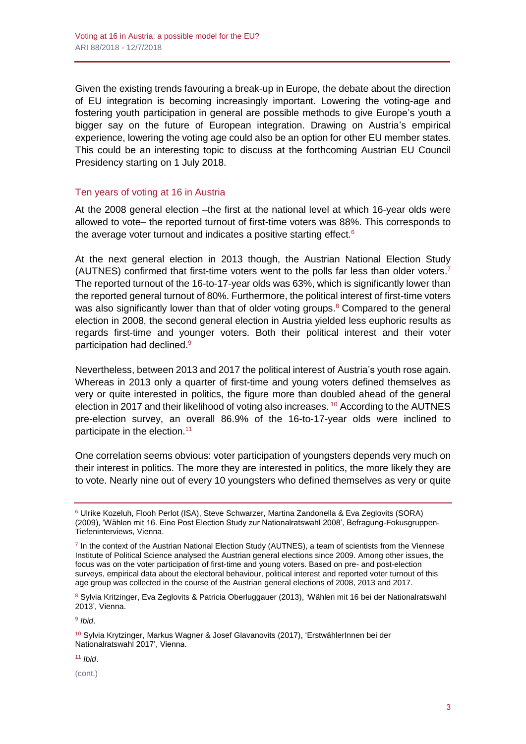Given the existing trends favouring a break-up in Europe, the debate about the direction of EU integration is becoming increasingly important. Lowering the voting-age and fostering youth participation in general are possible methods to give Europe's youth a bigger say on the future of European integration. Drawing on Austria's empirical experience, lowering the voting age could also be an option for other EU member states. This could be an interesting topic to discuss at the forthcoming Austrian EU Council Presidency starting on 1 July 2018.

## Ten years of voting at 16 in Austria

At the 2008 general election –the first at the national level at which 16-year olds were allowed to vote– the reported turnout of first-time voters was 88%. This corresponds to the average voter turnout and indicates a positive starting effect.<sup>6</sup>

At the next general election in 2013 though, the Austrian National Election Study (AUTNES) confirmed that first-time voters went to the polls far less than older voters.<sup>7</sup> The reported turnout of the 16-to-17-year olds was 63%, which is significantly lower than the reported general turnout of 80%. Furthermore, the political interest of first-time voters was also significantly lower than that of older voting groups.<sup>8</sup> Compared to the general election in 2008, the second general election in Austria yielded less euphoric results as regards first-time and younger voters. Both their political interest and their voter participation had declined. 9

Nevertheless, between 2013 and 2017 the political interest of Austria's youth rose again. Whereas in 2013 only a quarter of first-time and young voters defined themselves as very or quite interested in politics, the figure more than doubled ahead of the general election in 2017 and their likelihood of voting also increases. <sup>10</sup> According to the AUTNES pre-election survey, an overall 86.9% of the 16-to-17-year olds were inclined to participate in the election.<sup>11</sup>

One correlation seems obvious: voter participation of youngsters depends very much on their interest in politics. The more they are interested in politics, the more likely they are to vote. Nearly nine out of every 10 youngsters who defined themselves as very or quite

<sup>11</sup> *Ibid*.

(cont.)

<sup>6</sup> Ulrike Kozeluh, Flooh Perlot (ISA), Steve Schwarzer, Martina Zandonella & Eva Zeglovits (SORA) (2009), 'Wählen mit 16. Eine Post Election Study zur Nationalratswahl 2008', Befragung-Fokusgruppen-Tiefeninterviews, Vienna.

<sup>7</sup> In the context of the Austrian National Election Study (AUTNES), a team of scientists from the Viennese Institute of Political Science analysed the Austrian general elections since 2009. Among other issues, the focus was on the voter participation of first-time and young voters. Based on pre- and post-election surveys, empirical data about the electoral behaviour, political interest and reported voter turnout of this age group was collected in the course of the Austrian general elections of 2008, 2013 and 2017.

<sup>8</sup> Sylvia Kritzinger, Eva Zeglovits & Patricia Oberluggauer (2013), 'Wählen mit 16 bei der Nationalratswahl 2013', Vienna.

<sup>9</sup> *Ibid*.

<sup>10</sup> Sylvia Krytzinger, Markus Wagner & Josef Glavanovits (2017), 'ErstwählerInnen bei der Nationalratswahl 2017', Vienna.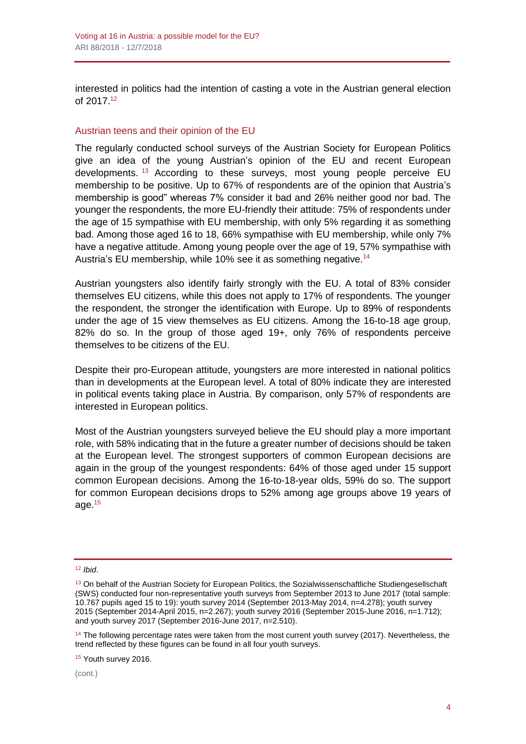interested in politics had the intention of casting a vote in the Austrian general election of 2017.<sup>12</sup>

#### Austrian teens and their opinion of the EU

The regularly conducted school surveys of the Austrian Society for European Politics give an idea of the young Austrian's opinion of the EU and recent European developments. <sup>13</sup> According to these surveys, most young people perceive EU membership to be positive. Up to 67% of respondents are of the opinion that Austria's membership is good" whereas 7% consider it bad and 26% neither good nor bad. The younger the respondents, the more EU-friendly their attitude: 75% of respondents under the age of 15 sympathise with EU membership, with only 5% regarding it as something bad. Among those aged 16 to 18, 66% sympathise with EU membership, while only 7% have a negative attitude. Among young people over the age of 19, 57% sympathise with Austria's EU membership, while 10% see it as something negative.<sup>14</sup>

Austrian youngsters also identify fairly strongly with the EU. A total of 83% consider themselves EU citizens, while this does not apply to 17% of respondents. The younger the respondent, the stronger the identification with Europe. Up to 89% of respondents under the age of 15 view themselves as EU citizens. Among the 16-to-18 age group, 82% do so. In the group of those aged 19+, only 76% of respondents perceive themselves to be citizens of the EU.

Despite their pro-European attitude, youngsters are more interested in national politics than in developments at the European level. A total of 80% indicate they are interested in political events taking place in Austria. By comparison, only 57% of respondents are interested in European politics.

Most of the Austrian youngsters surveyed believe the EU should play a more important role, with 58% indicating that in the future a greater number of decisions should be taken at the European level. The strongest supporters of common European decisions are again in the group of the youngest respondents: 64% of those aged under 15 support common European decisions. Among the 16-to-18-year olds, 59% do so. The support for common European decisions drops to 52% among age groups above 19 years of age. 15

<sup>15</sup> Youth survey 2016.

(cont.)

<sup>12</sup> *Ibid*.

<sup>&</sup>lt;sup>13</sup> On behalf of the Austrian Society for European Politics, the Sozialwissenschaftliche Studiengesellschaft (SWS) conducted four non-representative youth surveys from September 2013 to June 2017 (total sample: 10.767 pupils aged 15 to 19): youth survey 2014 (September 2013-May 2014, n=4.278); youth survey 2015 (September 2014-April 2015, n=2.267); youth survey 2016 (September 2015-June 2016, n=1.712); and youth survey 2017 (September 2016-June 2017, n=2.510).

<sup>&</sup>lt;sup>14</sup> The following percentage rates were taken from the most current youth survey (2017). Nevertheless, the trend reflected by these figures can be found in all four youth surveys.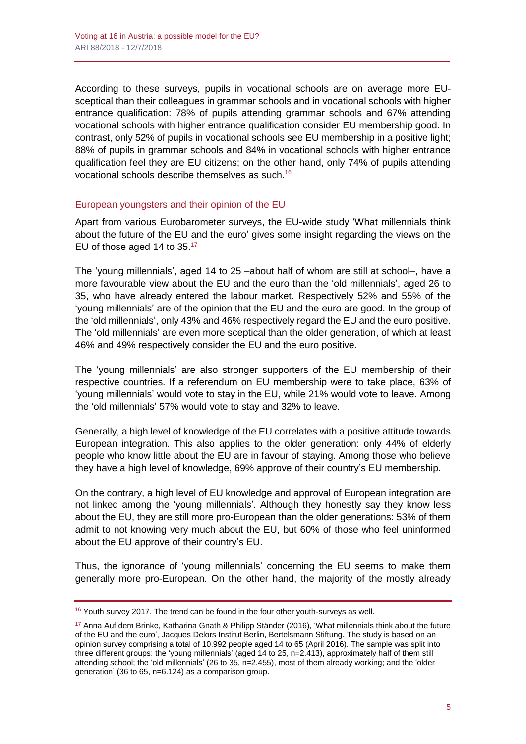According to these surveys, pupils in vocational schools are on average more EUsceptical than their colleagues in grammar schools and in vocational schools with higher entrance qualification: 78% of pupils attending grammar schools and 67% attending vocational schools with higher entrance qualification consider EU membership good. In contrast, only 52% of pupils in vocational schools see EU membership in a positive light; 88% of pupils in grammar schools and 84% in vocational schools with higher entrance qualification feel they are EU citizens; on the other hand, only 74% of pupils attending vocational schools describe themselves as such. 16

## European youngsters and their opinion of the EU

Apart from various Eurobarometer surveys, the EU-wide study 'What millennials think about the future of the EU and the euro' gives some insight regarding the views on the EU of those aged 14 to 35.<sup>17</sup>

The 'young millennials', aged 14 to 25 –about half of whom are still at school–, have a more favourable view about the EU and the euro than the 'old millennials', aged 26 to 35, who have already entered the labour market. Respectively 52% and 55% of the 'young millennials' are of the opinion that the EU and the euro are good. In the group of the 'old millennials', only 43% and 46% respectively regard the EU and the euro positive. The 'old millennials' are even more sceptical than the older generation, of which at least 46% and 49% respectively consider the EU and the euro positive.

The 'young millennials' are also stronger supporters of the EU membership of their respective countries. If a referendum on EU membership were to take place, 63% of 'young millennials' would vote to stay in the EU, while 21% would vote to leave. Among the 'old millennials' 57% would vote to stay and 32% to leave.

Generally, a high level of knowledge of the EU correlates with a positive attitude towards European integration. This also applies to the older generation: only 44% of elderly people who know little about the EU are in favour of staying. Among those who believe they have a high level of knowledge, 69% approve of their country's EU membership.

On the contrary, a high level of EU knowledge and approval of European integration are not linked among the 'young millennials'. Although they honestly say they know less about the EU, they are still more pro-European than the older generations: 53% of them admit to not knowing very much about the EU, but 60% of those who feel uninformed about the EU approve of their country's EU.

Thus, the ignorance of 'young millennials' concerning the EU seems to make them generally more pro-European. On the other hand, the majority of the mostly already

<sup>&</sup>lt;sup>16</sup> Youth survey 2017. The trend can be found in the four other youth-surveys as well.

 $17$  Anna Auf dem Brinke, Katharina Gnath & Philipp Ständer (2016), 'What millennials think about the future of the EU and the euro', Jacques Delors Institut Berlin, Bertelsmann Stiftung. The study is based on an opinion survey comprising a total of 10.992 people aged 14 to 65 (April 2016). The sample was split into three different groups: the 'young millennials' (aged 14 to 25, n=2.413), approximately half of them still attending school; the 'old millennials' (26 to 35, n=2.455), most of them already working; and the 'older generation' (36 to 65, n=6.124) as a comparison group.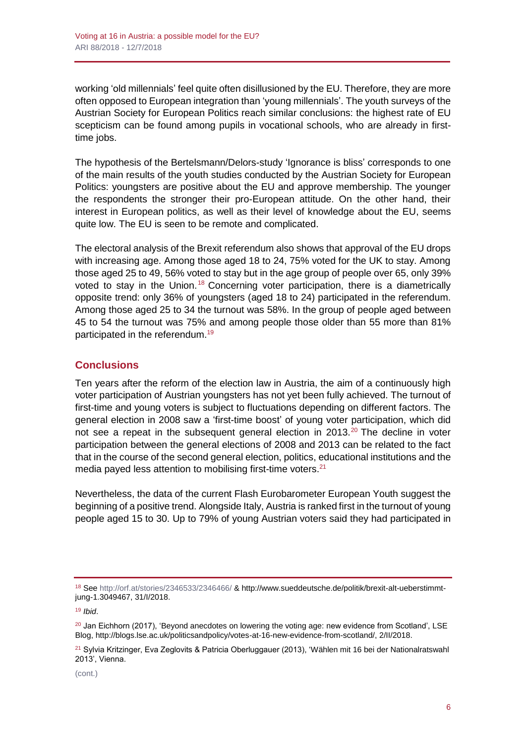working 'old millennials' feel quite often disillusioned by the EU. Therefore, they are more often opposed to European integration than 'young millennials'. The youth surveys of the Austrian Society for European Politics reach similar conclusions: the highest rate of EU scepticism can be found among pupils in vocational schools, who are already in firsttime jobs.

The hypothesis of the Bertelsmann/Delors-study 'Ignorance is bliss' corresponds to one of the main results of the youth studies conducted by the Austrian Society for European Politics: youngsters are positive about the EU and approve membership. The younger the respondents the stronger their pro-European attitude. On the other hand, their interest in European politics, as well as their level of knowledge about the EU, seems quite low. The EU is seen to be remote and complicated.

The electoral analysis of the Brexit referendum also shows that approval of the EU drops with increasing age. Among those aged 18 to 24, 75% voted for the UK to stay. Among those aged 25 to 49, 56% voted to stay but in the age group of people over 65, only 39% voted to stay in the Union.<sup>18</sup> Concerning voter participation, there is a diametrically opposite trend: only 36% of youngsters (aged 18 to 24) participated in the referendum. Among those aged 25 to 34 the turnout was 58%. In the group of people aged between 45 to 54 the turnout was 75% and among people those older than 55 more than 81% participated in the referendum.<sup>19</sup>

## **Conclusions**

Ten years after the reform of the election law in Austria, the aim of a continuously high voter participation of Austrian youngsters has not yet been fully achieved. The turnout of first-time and young voters is subject to fluctuations depending on different factors. The general election in 2008 saw a 'first-time boost' of young voter participation, which did not see a repeat in the subsequent general election in 2013.<sup>20</sup> The decline in voter participation between the general elections of 2008 and 2013 can be related to the fact that in the course of the second general election, politics, educational institutions and the media payed less attention to mobilising first-time voters.<sup>21</sup>

Nevertheless, the data of the current Flash Eurobarometer European Youth suggest the beginning of a positive trend. Alongside Italy, Austria is ranked first in the turnout of young people aged 15 to 30. Up to 79% of young Austrian voters said they had participated in

<sup>18</sup> Se[e http://orf.at/stories/2346533/2346466/](http://orf.at/stories/2346533/2346466/) [& http://www.sueddeutsche.de/politik/brexit-alt-ueberstimmt](http://www.sueddeutsche.de/politik/brexit-alt-ueberstimmt-jung-1.3049467)[jung-1.3049467,](http://www.sueddeutsche.de/politik/brexit-alt-ueberstimmt-jung-1.3049467) 31/I/2018.

<sup>19</sup> *Ibid*.

 $^{20}$  Jan Eichhorn (2017), 'Beyond anecdotes on lowering the voting age: new evidence from Scotland', LSE Blog, [http://blogs.lse.ac.uk/politicsandpolicy/votes-at-16-new-evidence-from-scotland/,](http://blogs.lse.ac.uk/politicsandpolicy/votes-at-16-new-evidence-from-scotland/) 2/II/2018.

<sup>&</sup>lt;sup>21</sup> Sylvia Kritzinger, Eva Zeglovits & Patricia Oberluggauer (2013), 'Wählen mit 16 bei der Nationalratswahl 2013', Vienna.